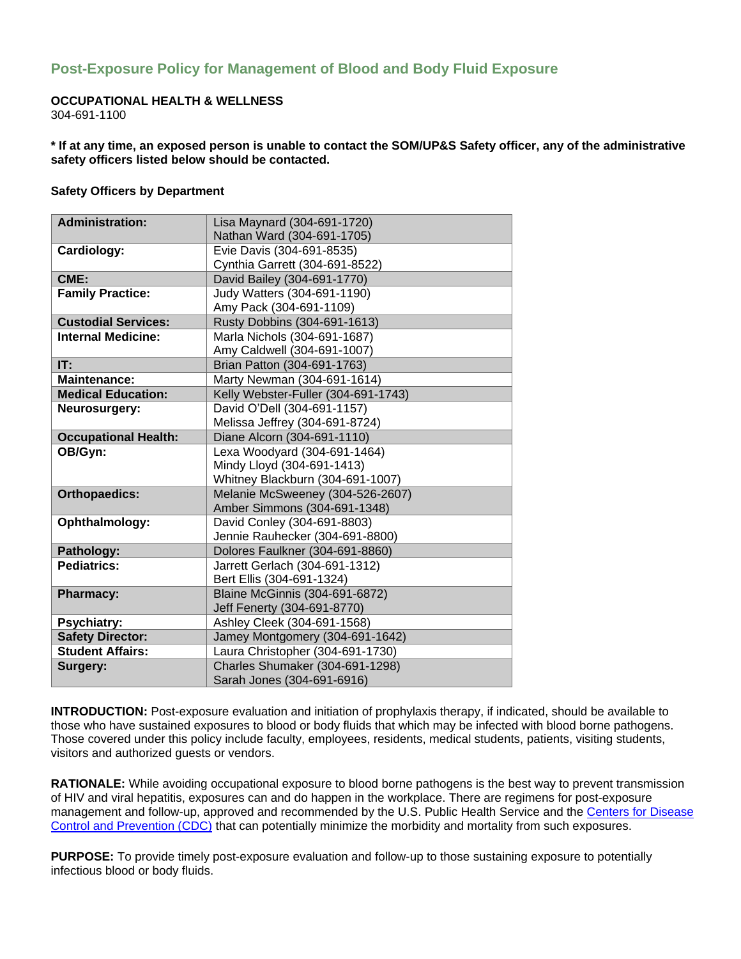# **Post-Exposure Policy for Management of Blood and Body Fluid Exposure**

### **OCCUPATIONAL HEALTH & WELLNESS**

304-691-1100

**\* If at any time, an exposed person is unable to contact the SOM/UP&S Safety officer, any of the administrative safety officers listed below should be contacted.** 

#### **Safety Officers by Department**

| <b>Administration:</b>      | Lisa Maynard (304-691-1720)         |
|-----------------------------|-------------------------------------|
|                             | Nathan Ward (304-691-1705)          |
| Cardiology:                 | Evie Davis (304-691-8535)           |
|                             | Cynthia Garrett (304-691-8522)      |
| CME:                        | David Bailey (304-691-1770)         |
| <b>Family Practice:</b>     | Judy Watters (304-691-1190)         |
|                             | Amy Pack (304-691-1109)             |
| <b>Custodial Services:</b>  | Rusty Dobbins (304-691-1613)        |
| <b>Internal Medicine:</b>   | Marla Nichols (304-691-1687)        |
|                             | Amy Caldwell (304-691-1007)         |
| IT:                         | Brian Patton (304-691-1763)         |
| <b>Maintenance:</b>         | Marty Newman (304-691-1614)         |
| <b>Medical Education:</b>   | Kelly Webster-Fuller (304-691-1743) |
| Neurosurgery:               | David O'Dell (304-691-1157)         |
|                             | Melissa Jeffrey (304-691-8724)      |
| <b>Occupational Health:</b> | Diane Alcorn (304-691-1110)         |
| OB/Gyn:                     | Lexa Woodyard (304-691-1464)        |
|                             | Mindy Lloyd (304-691-1413)          |
|                             | Whitney Blackburn (304-691-1007)    |
| <b>Orthopaedics:</b>        | Melanie McSweeney (304-526-2607)    |
|                             | Amber Simmons (304-691-1348)        |
| Ophthalmology:              | David Conley (304-691-8803)         |
|                             | Jennie Rauhecker (304-691-8800)     |
| Pathology:                  | Dolores Faulkner (304-691-8860)     |
| <b>Pediatrics:</b>          | Jarrett Gerlach (304-691-1312)      |
|                             | Bert Ellis (304-691-1324)           |
| <b>Pharmacy:</b>            | Blaine McGinnis (304-691-6872)      |
|                             | Jeff Fenerty (304-691-8770)         |
| <b>Psychiatry:</b>          | Ashley Cleek (304-691-1568)         |
| <b>Safety Director:</b>     | Jamey Montgomery (304-691-1642)     |
| <b>Student Affairs:</b>     | Laura Christopher (304-691-1730)    |
| Surgery:                    | Charles Shumaker (304-691-1298)     |
|                             | Sarah Jones (304-691-6916)          |

**INTRODUCTION:** Post-exposure evaluation and initiation of prophylaxis therapy, if indicated, should be available to those who have sustained exposures to blood or body fluids that which may be infected with blood borne pathogens. Those covered under this policy include faculty, employees, residents, medical students, patients, visiting students, visitors and authorized guests or vendors.

**RATIONALE:** While avoiding occupational exposure to blood borne pathogens is the best way to prevent transmission of HIV and viral hepatitis, exposures can and do happen in the workplace. There are regimens for post-exposure management and follow-up, approved and recommended by the U.S. Public Health Service and the [Centers for Disease](http://www.cdc.gov/ncidod/hip/guide/phspep.htm)  [Control and Prevention \(CDC\)](http://www.cdc.gov/ncidod/hip/guide/phspep.htm) that can potentially minimize the morbidity and mortality from such exposures.

**PURPOSE:** To provide timely post-exposure evaluation and follow-up to those sustaining exposure to potentially infectious blood or body fluids.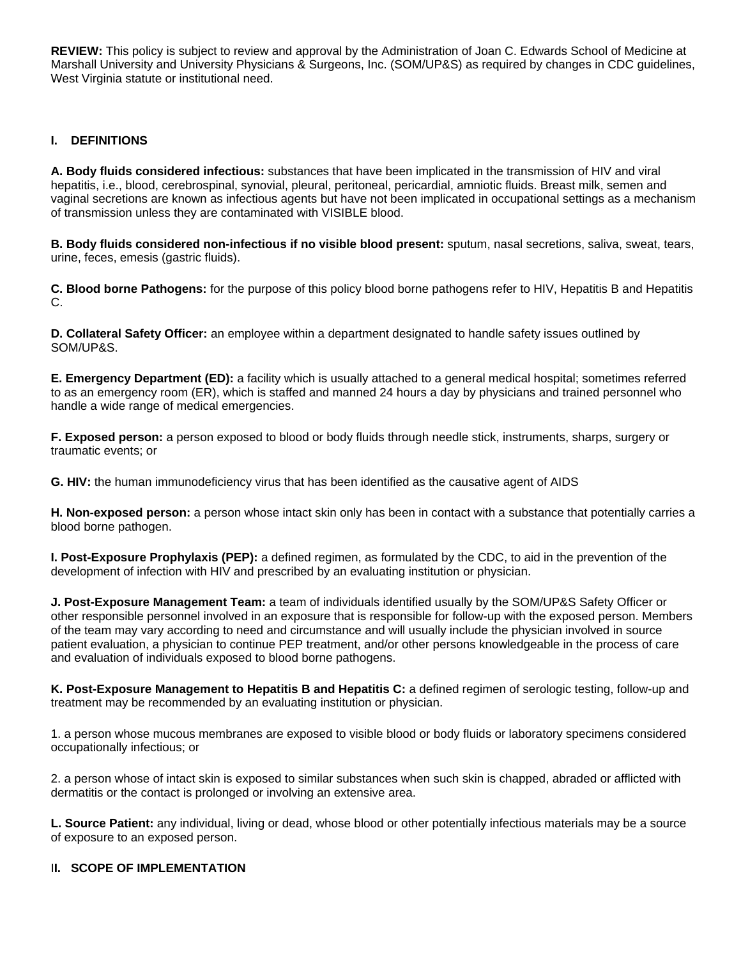**REVIEW:** This policy is subject to review and approval by the Administration of Joan C. Edwards School of Medicine at Marshall University and University Physicians & Surgeons, Inc. (SOM/UP&S) as required by changes in CDC guidelines, West Virginia statute or institutional need.

# **I. DEFINITIONS**

**A. Body fluids considered infectious:** substances that have been implicated in the transmission of HIV and viral hepatitis, i.e., blood, cerebrospinal, synovial, pleural, peritoneal, pericardial, amniotic fluids. Breast milk, semen and vaginal secretions are known as infectious agents but have not been implicated in occupational settings as a mechanism of transmission unless they are contaminated with VISIBLE blood.

**B. Body fluids considered non-infectious if no visible blood present:** sputum, nasal secretions, saliva, sweat, tears, urine, feces, emesis (gastric fluids).

**C. Blood borne Pathogens:** for the purpose of this policy blood borne pathogens refer to HIV, Hepatitis B and Hepatitis C.

**D. Collateral Safety Officer:** an employee within a department designated to handle safety issues outlined by SOM/UP&S.

**E. Emergency Department (ED):** a facility which is usually attached to a general medical hospital; sometimes referred to as an emergency room (ER), which is staffed and manned 24 hours a day by physicians and trained personnel who handle a wide range of medical emergencies.

**F. Exposed person:** a person exposed to blood or body fluids through needle stick, instruments, sharps, surgery or traumatic events; or

**G. HIV:** the human immunodeficiency virus that has been identified as the causative agent of AIDS

**H. Non-exposed person:** a person whose intact skin only has been in contact with a substance that potentially carries a blood borne pathogen.

**I. Post-Exposure Prophylaxis (PEP):** a defined regimen, as formulated by the CDC, to aid in the prevention of the development of infection with HIV and prescribed by an evaluating institution or physician.

**J. Post-Exposure Management Team:** a team of individuals identified usually by the SOM/UP&S Safety Officer or other responsible personnel involved in an exposure that is responsible for follow-up with the exposed person. Members of the team may vary according to need and circumstance and will usually include the physician involved in source patient evaluation, a physician to continue PEP treatment, and/or other persons knowledgeable in the process of care and evaluation of individuals exposed to blood borne pathogens.

**K. Post-Exposure Management to Hepatitis B and Hepatitis C:** a defined regimen of serologic testing, follow-up and treatment may be recommended by an evaluating institution or physician.

1. a person whose mucous membranes are exposed to visible blood or body fluids or laboratory specimens considered occupationally infectious; or

2. a person whose of intact skin is exposed to similar substances when such skin is chapped, abraded or afflicted with dermatitis or the contact is prolonged or involving an extensive area.

**L. Source Patient:** any individual, living or dead, whose blood or other potentially infectious materials may be a source of exposure to an exposed person.

# I**I. SCOPE OF IMPLEMENTATION**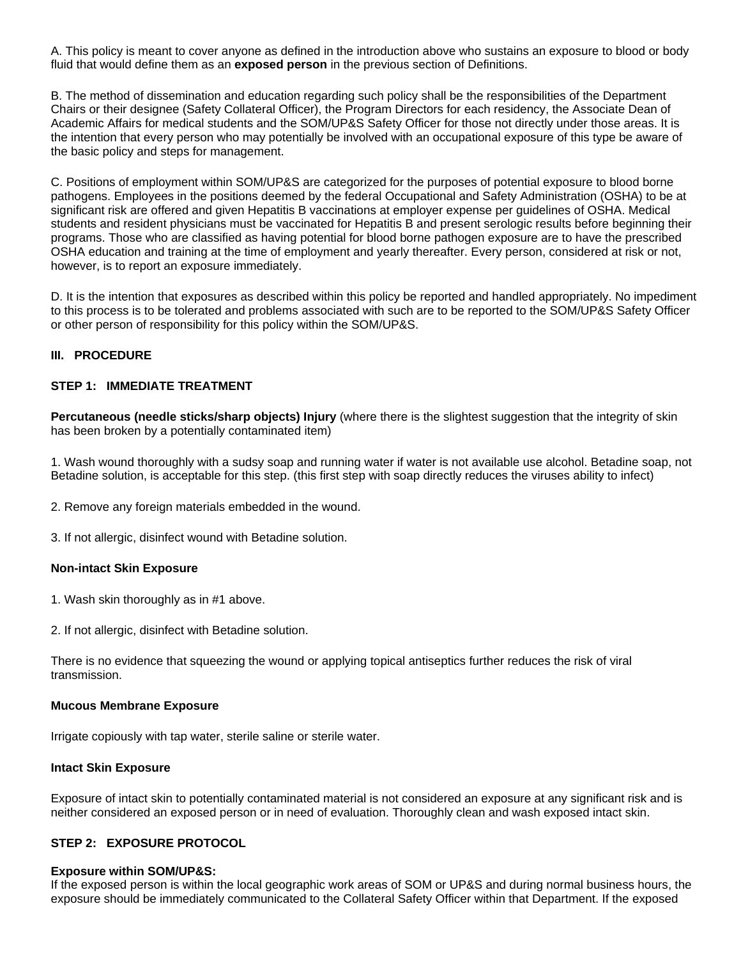A. This policy is meant to cover anyone as defined in the introduction above who sustains an exposure to blood or body fluid that would define them as an **exposed person** in the previous section of Definitions.

B. The method of dissemination and education regarding such policy shall be the responsibilities of the Department Chairs or their designee (Safety Collateral Officer), the Program Directors for each residency, the Associate Dean of Academic Affairs for medical students and the SOM/UP&S Safety Officer for those not directly under those areas. It is the intention that every person who may potentially be involved with an occupational exposure of this type be aware of the basic policy and steps for management.

C. Positions of employment within SOM/UP&S are categorized for the purposes of potential exposure to blood borne pathogens. Employees in the positions deemed by the federal Occupational and Safety Administration (OSHA) to be at significant risk are offered and given Hepatitis B vaccinations at employer expense per guidelines of OSHA. Medical students and resident physicians must be vaccinated for Hepatitis B and present serologic results before beginning their programs. Those who are classified as having potential for blood borne pathogen exposure are to have the prescribed OSHA education and training at the time of employment and yearly thereafter. Every person, considered at risk or not, however, is to report an exposure immediately.

D. It is the intention that exposures as described within this policy be reported and handled appropriately. No impediment to this process is to be tolerated and problems associated with such are to be reported to the SOM/UP&S Safety Officer or other person of responsibility for this policy within the SOM/UP&S.

### **III. PROCEDURE**

### **STEP 1: IMMEDIATE TREATMENT**

**Percutaneous (needle sticks/sharp objects) Injury** (where there is the slightest suggestion that the integrity of skin has been broken by a potentially contaminated item)

1. Wash wound thoroughly with a sudsy soap and running water if water is not available use alcohol. Betadine soap, not Betadine solution, is acceptable for this step. (this first step with soap directly reduces the viruses ability to infect)

2. Remove any foreign materials embedded in the wound.

3. If not allergic, disinfect wound with Betadine solution.

### **Non-intact Skin Exposure**

- 1. Wash skin thoroughly as in #1 above.
- 2. If not allergic, disinfect with Betadine solution.

There is no evidence that squeezing the wound or applying topical antiseptics further reduces the risk of viral transmission.

#### **Mucous Membrane Exposure**

Irrigate copiously with tap water, sterile saline or sterile water.

#### **Intact Skin Exposure**

Exposure of intact skin to potentially contaminated material is not considered an exposure at any significant risk and is neither considered an exposed person or in need of evaluation. Thoroughly clean and wash exposed intact skin.

### **STEP 2: EXPOSURE PROTOCOL**

### **Exposure within SOM/UP&S:**

If the exposed person is within the local geographic work areas of SOM or UP&S and during normal business hours, the exposure should be immediately communicated to the Collateral Safety Officer within that Department. If the exposed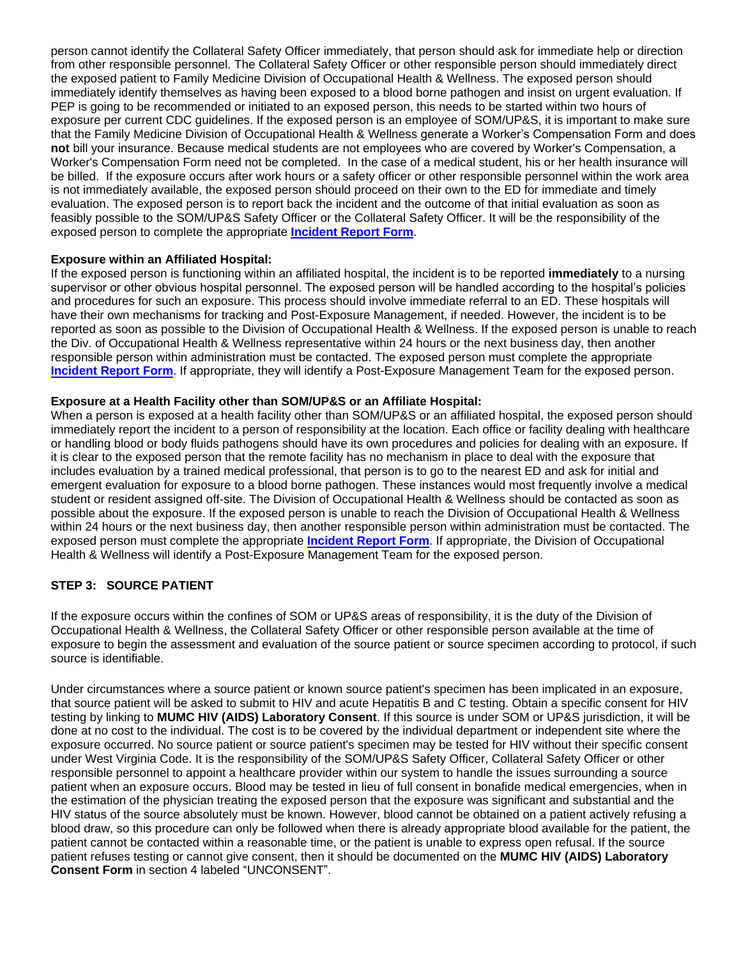person cannot identify the Collateral Safety Officer immediately, that person should ask for immediate help or direction from other responsible personnel. The Collateral Safety Officer or other responsible person should immediately direct the exposed patient to Family Medicine Division of Occupational Health & Wellness. The exposed person should immediately identify themselves as having been exposed to a blood borne pathogen and insist on urgent evaluation. If PEP is going to be recommended or initiated to an exposed person, this needs to be started within two hours of exposure per current CDC guidelines. If the exposed person is an employee of SOM/UP&S, it is important to make sure that the Family Medicine Division of Occupational Health & Wellness generate a Worker's Compensation Form and does **not** bill your insurance. Because medical students are not employees who are covered by Worker's Compensation, a Worker's Compensation Form need not be completed. In the case of a medical student, his or her health insurance will be billed. If the exposure occurs after work hours or a safety officer or other responsible personnel within the work area is not immediately available, the exposed person should proceed on their own to the ED for immediate and timely evaluation. The exposed person is to report back the incident and the outcome of that initial evaluation as soon as feasibly possible to the SOM/UP&S Safety Officer or the Collateral Safety Officer. It will be the responsibility of the exposed person to complete the appropriate **[Incident Report Form](https://jcesom.marshall.edu/about/emergency-adverse-event-protocols/)**.

### **Exposure within an Affiliated Hospital:**

If the exposed person is functioning within an affiliated hospital, the incident is to be reported **immediately** to a nursing supervisor or other obvious hospital personnel. The exposed person will be handled according to the hospital's policies and procedures for such an exposure. This process should involve immediate referral to an ED. These hospitals will have their own mechanisms for tracking and Post-Exposure Management, if needed. However, the incident is to be reported as soon as possible to the Division of Occupational Health & Wellness. If the exposed person is unable to reach the Div. of Occupational Health & Wellness representative within 24 hours or the next business day, then another responsible person within administration must be contacted. The exposed person must complete the appropriate **[Incident Report Form](https://jcesom.marshall.edu/about/emergency-adverse-event-protocols/)**. If appropriate, they will identify a Post-Exposure Management Team for the exposed person.

### **Exposure at a Health Facility other than SOM/UP&S or an Affiliate Hospital:**

When a person is exposed at a health facility other than SOM/UP&S or an affiliated hospital, the exposed person should immediately report the incident to a person of responsibility at the location. Each office or facility dealing with healthcare or handling blood or body fluids pathogens should have its own procedures and policies for dealing with an exposure. If it is clear to the exposed person that the remote facility has no mechanism in place to deal with the exposure that includes evaluation by a trained medical professional, that person is to go to the nearest ED and ask for initial and emergent evaluation for exposure to a blood borne pathogen. These instances would most frequently involve a medical student or resident assigned off-site. The Division of Occupational Health & Wellness should be contacted as soon as possible about the exposure. If the exposed person is unable to reach the Division of Occupational Health & Wellness within 24 hours or the next business day, then another responsible person within administration must be contacted. The exposed person must complete the appropriate **[Incident Report Form](https://jcesom.marshall.edu/about/emergency-adverse-event-protocols/)**. If appropriate, the Division of Occupational Health & Wellness will identify a Post-Exposure Management Team for the exposed person.

# **STEP 3: SOURCE PATIENT**

If the exposure occurs within the confines of SOM or UP&S areas of responsibility, it is the duty of the Division of Occupational Health & Wellness, the Collateral Safety Officer or other responsible person available at the time of exposure to begin the assessment and evaluation of the source patient or source specimen according to protocol, if such source is identifiable.

Under circumstances where a source patient or known source patient's specimen has been implicated in an exposure, that source patient will be asked to submit to HIV and acute Hepatitis B and C testing. Obtain a specific consent for HIV testing by linking to **[MUMC HIV \(AIDS\) Laboratory Consent](http://musom.marshall.edu/ups/HIVConsentForm.pdf)**. If this source is under SOM or UP&S jurisdiction, it will be done at no cost to the individual. The cost is to be covered by the individual department or independent site where the exposure occurred. No source patient or source patient's specimen may be tested for HIV without their specific consent under West Virginia Code. It is the responsibility of the SOM/UP&S Safety Officer, Collateral Safety Officer or other responsible personnel to appoint a healthcare provider within our system to handle the issues surrounding a source patient when an exposure occurs. Blood may be tested in lieu of full consent in bonafide medical emergencies, when in the estimation of the physician treating the exposed person that the exposure was significant and substantial and the HIV status of the source absolutely must be known. However, blood cannot be obtained on a patient actively refusing a blood draw, so this procedure can only be followed when there is already appropriate blood available for the patient, the patient cannot be contacted within a reasonable time, or the patient is unable to express open refusal. If the source patient refuses testing or cannot give consent, then it should be documented on the **[MUMC HIV \(AIDS\) Laboratory](http://musom.marshall.edu/ups/HIVConsentForm.pdf)  [Consent Form](http://musom.marshall.edu/ups/HIVConsentForm.pdf)** in section 4 labeled "UNCONSENT".